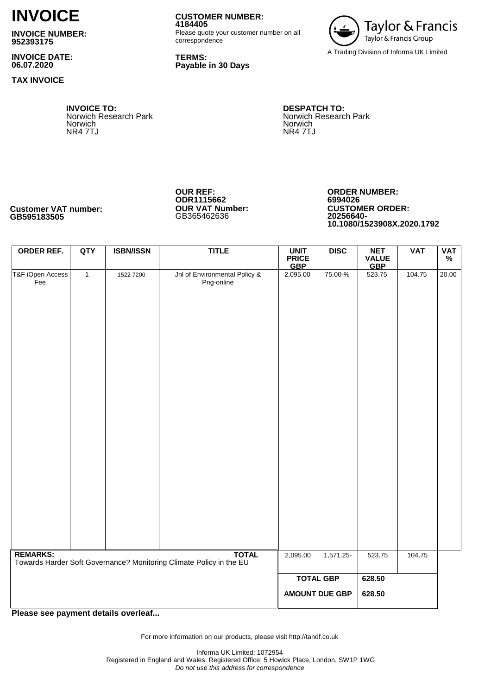# **INVOICE**

**INVOICE NUMBER: 952393175**

**INVOICE DATE: 06.07.2020**

**TAX INVOICE**

**INVOICE TO:** Norwich Research Park Norwich NR4 7TJ

**4184405** Please quote your customer number on all correspondence

**TERMS: Payable in 30 Days**

**CUSTOMER NUMBER:**



**DESPATCH TO:** Norwich Research Park Norwich NR4 7TJ

**OUR REF: ODR1115662 OUR VAT Number:**  GB365462636

**ORDER NUMBER: 6994026 CUSTOMER ORDER: 20256640- 10.1080/1523908X.2020.1792**

**ORDER REF. QTY ISBN/ISSN TITLE UNIT PRICE GBP DISC NET VALUE GBP VAT VAT %** T&F iOpen Access Fee 1 1522-7200 Jnl of Environmental Policy & Png-online 2,095.00 75.00-% 523.75 104.75 20.00 **TOTAL** 2,095.00 1,571.25- 523.75 104.75 **TOTAL GBP AMOUNT DUE GBP 628.50 628.50 REMARKS:** Towards Harder Soft Governance? Monitoring Climate Policy in the EU

**Please see payment details overleaf...**

For more information on our products, please visit http://tandf.co.uk

**Customer VAT number: GB595183505**